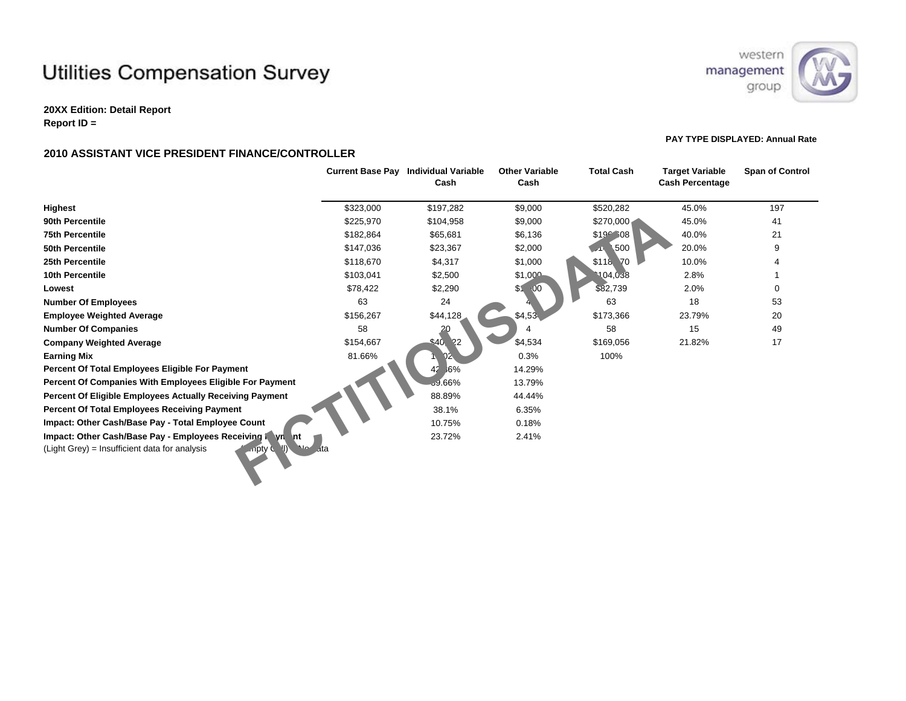## **Utilities Compensation Survey**

**20XX Edition: Detail Report Report ID =** 

## **2010 ASSISTANT VICE PRESIDENT FINANCE/CONTROLLER**



## **PAY TYPE DISPLAYED: Annual Rate**

|                                                                                                                                                    |           | <b>Current Base Pay Individual Variable</b><br>Cash | <b>Other Variable</b><br>Cash | <b>Total Cash</b> | <b>Target Variable</b><br><b>Cash Percentage</b> | <b>Span of Control</b> |
|----------------------------------------------------------------------------------------------------------------------------------------------------|-----------|-----------------------------------------------------|-------------------------------|-------------------|--------------------------------------------------|------------------------|
| Highest                                                                                                                                            | \$323,000 | \$197,282                                           | \$9,000                       | \$520,282         | 45.0%                                            | 197                    |
| 90th Percentile                                                                                                                                    | \$225,970 | \$104,958                                           | \$9,000                       | \$270,000         | 45.0%                                            | 41                     |
| <b>75th Percentile</b>                                                                                                                             | \$182,864 | \$65,681                                            | \$6,136                       | $$19^{\circ}$ 08  | 40.0%                                            | 21                     |
| 50th Percentile                                                                                                                                    | \$147,036 | \$23,367                                            | \$2,000                       | 14, 500           | 20.0%                                            | 9                      |
| 25th Percentile                                                                                                                                    | \$118,670 | \$4,317                                             | \$1,000                       | \$118<br>70       | 10.0%                                            |                        |
| 10th Percentile                                                                                                                                    | \$103,041 | \$2,500                                             | \$1,000                       | 104.038           | 2.8%                                             |                        |
| Lowest                                                                                                                                             | \$78,422  | \$2,290                                             | \$1, 00                       | \$82,739          | 2.0%                                             | 0                      |
| <b>Number Of Employees</b>                                                                                                                         | 63        | 24                                                  |                               | 63                | 18                                               | 53                     |
| <b>Employee Weighted Average</b>                                                                                                                   | \$156,267 | \$44,128                                            | \$4,53                        | \$173,366         | 23.79%                                           | 20                     |
| <b>Number Of Companies</b>                                                                                                                         | 58        |                                                     |                               | 58                | 15                                               | 49                     |
| <b>Company Weighted Average</b>                                                                                                                    | \$154,667 | \$40,<br>22                                         | \$4,534                       | \$169,056         | 21.82%                                           | 17                     |
| <b>Earning Mix</b>                                                                                                                                 | 81.66%    |                                                     | 0.3%                          | 100%              |                                                  |                        |
| Percent Of Total Employees Eligible For Payment                                                                                                    |           | 42<br>6%                                            | 14.29%                        |                   |                                                  |                        |
| Percent Of Companies With Employees Eligible For Payment                                                                                           |           | 866%،                                               | 13.79%                        |                   |                                                  |                        |
| Percent Of Eligible Employees Actually Receiving Payment                                                                                           |           | 88.89%                                              | 44.44%                        |                   |                                                  |                        |
| <b>Percent Of Total Employees Receiving Payment</b>                                                                                                |           | 38.1%                                               | 6.35%                         |                   |                                                  |                        |
| Impact: Other Cash/Base Pay - Total Employee Count                                                                                                 |           | 10.75%                                              | 0.18%                         |                   |                                                  |                        |
| Impact: Other Cash/Base Pay - Employees Receiving in yn Int<br>(Light Grey) = Insufficient data for analysis<br>. $\eta$ pty $\zeta$ \left(<br>سما | dta       | 23.72%                                              | 2.41%                         |                   |                                                  |                        |